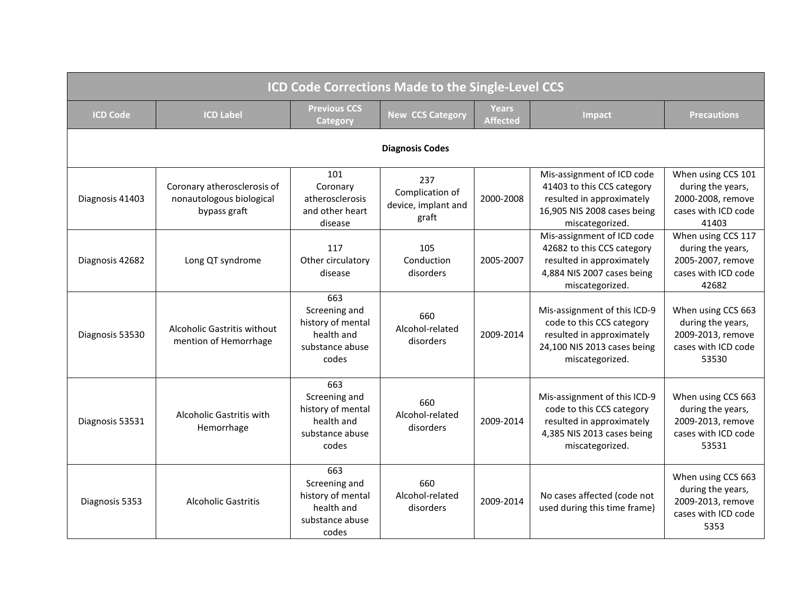| <b>ICD Code Corrections Made to the Single-Level CCS</b> |                                                                         |                                                                                     |                                                        |                          |                                                                                                                                          |                                                                                              |  |  |
|----------------------------------------------------------|-------------------------------------------------------------------------|-------------------------------------------------------------------------------------|--------------------------------------------------------|--------------------------|------------------------------------------------------------------------------------------------------------------------------------------|----------------------------------------------------------------------------------------------|--|--|
| <b>ICD Code</b>                                          | <b>ICD Label</b>                                                        | <b>Previous CCS</b><br>Category                                                     | <b>New CCS Category</b>                                | Years<br><b>Affected</b> | <b>Impact</b>                                                                                                                            | <b>Precautions</b>                                                                           |  |  |
| <b>Diagnosis Codes</b>                                   |                                                                         |                                                                                     |                                                        |                          |                                                                                                                                          |                                                                                              |  |  |
| Diagnosis 41403                                          | Coronary atherosclerosis of<br>nonautologous biological<br>bypass graft | 101<br>Coronary<br>atherosclerosis<br>and other heart<br>disease                    | 237<br>Complication of<br>device, implant and<br>graft | 2000-2008                | Mis-assignment of ICD code<br>41403 to this CCS category<br>resulted in approximately<br>16,905 NIS 2008 cases being<br>miscategorized.  | When using CCS 101<br>during the years,<br>2000-2008, remove<br>cases with ICD code<br>41403 |  |  |
| Diagnosis 42682                                          | Long QT syndrome                                                        | 117<br>Other circulatory<br>disease                                                 | 105<br>Conduction<br>disorders                         | 2005-2007                | Mis-assignment of ICD code<br>42682 to this CCS category<br>resulted in approximately<br>4,884 NIS 2007 cases being<br>miscategorized.   | When using CCS 117<br>during the years,<br>2005-2007, remove<br>cases with ICD code<br>42682 |  |  |
| Diagnosis 53530                                          | Alcoholic Gastritis without<br>mention of Hemorrhage                    | 663<br>Screening and<br>history of mental<br>health and<br>substance abuse<br>codes | 660<br>Alcohol-related<br>disorders                    | 2009-2014                | Mis-assignment of this ICD-9<br>code to this CCS category<br>resulted in approximately<br>24,100 NIS 2013 cases being<br>miscategorized. | When using CCS 663<br>during the years,<br>2009-2013, remove<br>cases with ICD code<br>53530 |  |  |
| Diagnosis 53531                                          | Alcoholic Gastritis with<br>Hemorrhage                                  | 663<br>Screening and<br>history of mental<br>health and<br>substance abuse<br>codes | 660<br>Alcohol-related<br>disorders                    | 2009-2014                | Mis-assignment of this ICD-9<br>code to this CCS category<br>resulted in approximately<br>4,385 NIS 2013 cases being<br>miscategorized.  | When using CCS 663<br>during the years,<br>2009-2013, remove<br>cases with ICD code<br>53531 |  |  |
| Diagnosis 5353                                           | <b>Alcoholic Gastritis</b>                                              | 663<br>Screening and<br>history of mental<br>health and<br>substance abuse<br>codes | 660<br>Alcohol-related<br>disorders                    | 2009-2014                | No cases affected (code not<br>used during this time frame)                                                                              | When using CCS 663<br>during the years,<br>2009-2013, remove<br>cases with ICD code<br>5353  |  |  |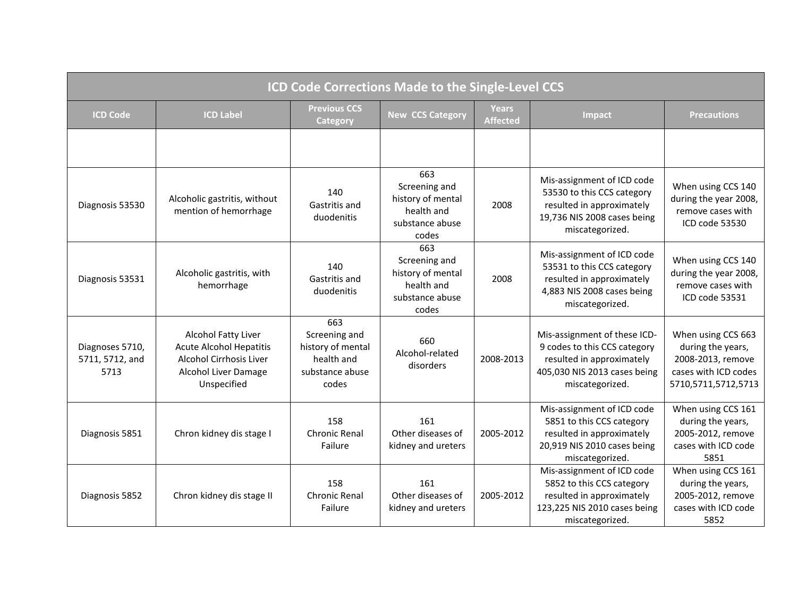| <b>ICD Code Corrections Made to the Single-Level CCS</b> |                                                                                                                                       |                                                                                     |                                                                                     |                          |                                                                                                                                              |                                                                                                             |  |
|----------------------------------------------------------|---------------------------------------------------------------------------------------------------------------------------------------|-------------------------------------------------------------------------------------|-------------------------------------------------------------------------------------|--------------------------|----------------------------------------------------------------------------------------------------------------------------------------------|-------------------------------------------------------------------------------------------------------------|--|
| <b>ICD Code</b>                                          | <b>ICD Label</b>                                                                                                                      | <b>Previous CCS</b><br>Category                                                     | <b>New CCS Category</b>                                                             | Years<br><b>Affected</b> | Impact                                                                                                                                       | <b>Precautions</b>                                                                                          |  |
|                                                          |                                                                                                                                       |                                                                                     |                                                                                     |                          |                                                                                                                                              |                                                                                                             |  |
| Diagnosis 53530                                          | Alcoholic gastritis, without<br>mention of hemorrhage                                                                                 | 140<br>Gastritis and<br>duodenitis                                                  | 663<br>Screening and<br>history of mental<br>health and<br>substance abuse<br>codes | 2008                     | Mis-assignment of ICD code<br>53530 to this CCS category<br>resulted in approximately<br>19,736 NIS 2008 cases being<br>miscategorized.      | When using CCS 140<br>during the year 2008,<br>remove cases with<br>ICD code 53530                          |  |
| Diagnosis 53531                                          | Alcoholic gastritis, with<br>hemorrhage                                                                                               | 140<br>Gastritis and<br>duodenitis                                                  | 663<br>Screening and<br>history of mental<br>health and<br>substance abuse<br>codes | 2008                     | Mis-assignment of ICD code<br>53531 to this CCS category<br>resulted in approximately<br>4,883 NIS 2008 cases being<br>miscategorized.       | When using CCS 140<br>during the year 2008,<br>remove cases with<br>ICD code 53531                          |  |
| Diagnoses 5710,<br>5711, 5712, and<br>5713               | <b>Alcohol Fatty Liver</b><br><b>Acute Alcohol Hepatitis</b><br>Alcohol Cirrhosis Liver<br><b>Alcohol Liver Damage</b><br>Unspecified | 663<br>Screening and<br>history of mental<br>health and<br>substance abuse<br>codes | 660<br>Alcohol-related<br>disorders                                                 | 2008-2013                | Mis-assignment of these ICD-<br>9 codes to this CCS category<br>resulted in approximately<br>405,030 NIS 2013 cases being<br>miscategorized. | When using CCS 663<br>during the years,<br>2008-2013, remove<br>cases with ICD codes<br>5710,5711,5712,5713 |  |
| Diagnosis 5851                                           | Chron kidney dis stage I                                                                                                              | 158<br>Chronic Renal<br>Failure                                                     | 161<br>Other diseases of<br>kidney and ureters                                      | 2005-2012                | Mis-assignment of ICD code<br>5851 to this CCS category<br>resulted in approximately<br>20,919 NIS 2010 cases being<br>miscategorized.       | When using CCS 161<br>during the years,<br>2005-2012, remove<br>cases with ICD code<br>5851                 |  |
| Diagnosis 5852                                           | Chron kidney dis stage II                                                                                                             | 158<br><b>Chronic Renal</b><br>Failure                                              | 161<br>Other diseases of<br>kidney and ureters                                      | 2005-2012                | Mis-assignment of ICD code<br>5852 to this CCS category<br>resulted in approximately<br>123,225 NIS 2010 cases being<br>miscategorized.      | When using CCS 161<br>during the years,<br>2005-2012, remove<br>cases with ICD code<br>5852                 |  |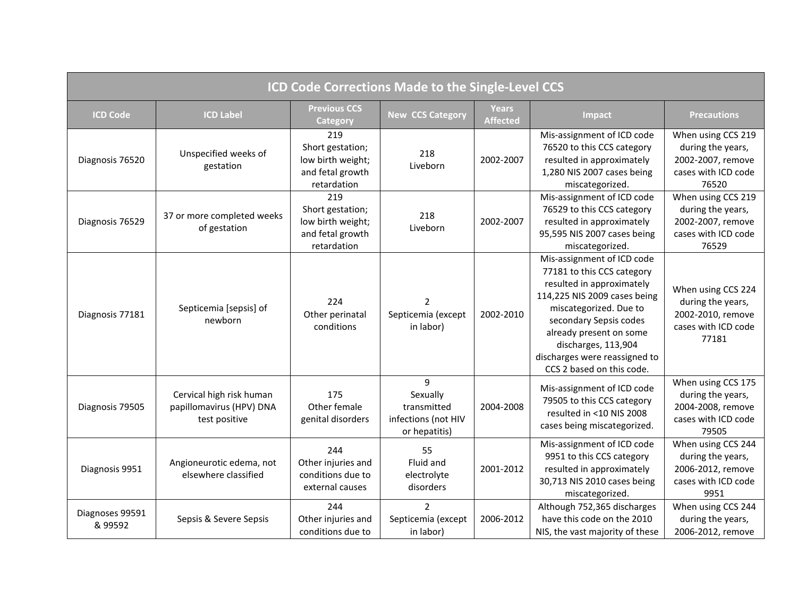| ICD Code Corrections Made to the Single-Level CCS |                                                                       |                                                                                 |                                                                      |                                 |                                                                                                                                                                                                                                                                                           |                                                                                              |  |
|---------------------------------------------------|-----------------------------------------------------------------------|---------------------------------------------------------------------------------|----------------------------------------------------------------------|---------------------------------|-------------------------------------------------------------------------------------------------------------------------------------------------------------------------------------------------------------------------------------------------------------------------------------------|----------------------------------------------------------------------------------------------|--|
| <b>ICD Code</b>                                   | <b>ICD Label</b>                                                      | <b>Previous CCS</b><br>Category                                                 | <b>New CCS Category</b>                                              | <b>Years</b><br><b>Affected</b> | Impact                                                                                                                                                                                                                                                                                    | <b>Precautions</b>                                                                           |  |
| Diagnosis 76520                                   | Unspecified weeks of<br>gestation                                     | 219<br>Short gestation;<br>low birth weight;<br>and fetal growth<br>retardation | 218<br>Liveborn                                                      | 2002-2007                       | Mis-assignment of ICD code<br>76520 to this CCS category<br>resulted in approximately<br>1,280 NIS 2007 cases being<br>miscategorized.                                                                                                                                                    | When using CCS 219<br>during the years,<br>2002-2007, remove<br>cases with ICD code<br>76520 |  |
| Diagnosis 76529                                   | 37 or more completed weeks<br>of gestation                            | 219<br>Short gestation;<br>low birth weight;<br>and fetal growth<br>retardation | 218<br>Liveborn                                                      | 2002-2007                       | Mis-assignment of ICD code<br>76529 to this CCS category<br>resulted in approximately<br>95,595 NIS 2007 cases being<br>miscategorized.                                                                                                                                                   | When using CCS 219<br>during the years,<br>2002-2007, remove<br>cases with ICD code<br>76529 |  |
| Diagnosis 77181                                   | Septicemia [sepsis] of<br>newborn                                     | 224<br>Other perinatal<br>conditions                                            | $\mathcal{P}$<br>Septicemia (except<br>in labor)                     | 2002-2010                       | Mis-assignment of ICD code<br>77181 to this CCS category<br>resulted in approximately<br>114,225 NIS 2009 cases being<br>miscategorized. Due to<br>secondary Sepsis codes<br>already present on some<br>discharges, 113,904<br>discharges were reassigned to<br>CCS 2 based on this code. | When using CCS 224<br>during the years,<br>2002-2010, remove<br>cases with ICD code<br>77181 |  |
| Diagnosis 79505                                   | Cervical high risk human<br>papillomavirus (HPV) DNA<br>test positive | 175<br>Other female<br>genital disorders                                        | 9<br>Sexually<br>transmitted<br>infections (not HIV<br>or hepatitis) | 2004-2008                       | Mis-assignment of ICD code<br>79505 to this CCS category<br>resulted in <10 NIS 2008<br>cases being miscategorized.                                                                                                                                                                       | When using CCS 175<br>during the years,<br>2004-2008, remove<br>cases with ICD code<br>79505 |  |
| Diagnosis 9951                                    | Angioneurotic edema, not<br>elsewhere classified                      | 244<br>Other injuries and<br>conditions due to<br>external causes               | 55<br>Fluid and<br>electrolyte<br>disorders                          | 2001-2012                       | Mis-assignment of ICD code<br>9951 to this CCS category<br>resulted in approximately<br>30,713 NIS 2010 cases being<br>miscategorized.                                                                                                                                                    | When using CCS 244<br>during the years,<br>2006-2012, remove<br>cases with ICD code<br>9951  |  |
| Diagnoses 99591<br>& 99592                        | Sepsis & Severe Sepsis                                                | 244<br>Other injuries and<br>conditions due to                                  | $\overline{2}$<br>Septicemia (except<br>in labor)                    | 2006-2012                       | Although 752,365 discharges<br>have this code on the 2010<br>NIS, the vast majority of these                                                                                                                                                                                              | When using CCS 244<br>during the years,<br>2006-2012, remove                                 |  |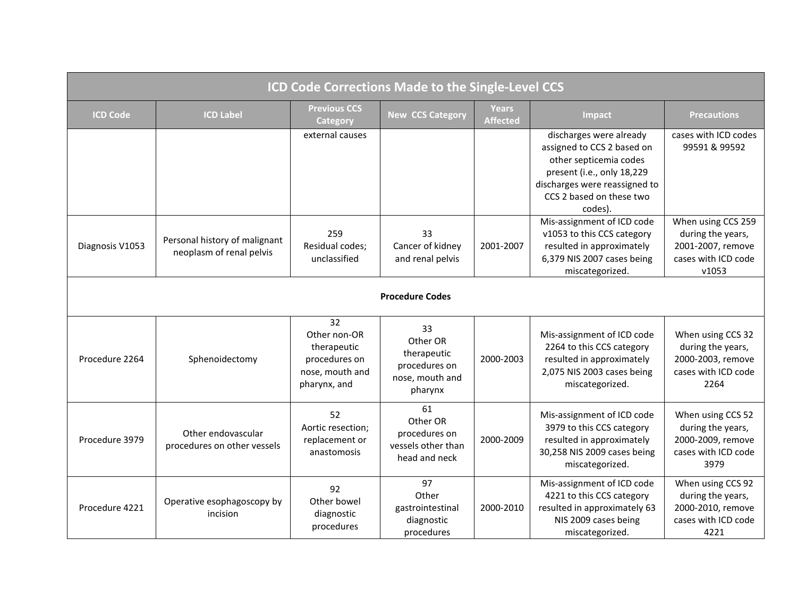| <b>ICD Code Corrections Made to the Single-Level CCS</b> |                                                           |                                                                                       |                                                                              |                          |                                                                                                                                                                                       |                                                                                              |  |  |
|----------------------------------------------------------|-----------------------------------------------------------|---------------------------------------------------------------------------------------|------------------------------------------------------------------------------|--------------------------|---------------------------------------------------------------------------------------------------------------------------------------------------------------------------------------|----------------------------------------------------------------------------------------------|--|--|
| <b>ICD Code</b>                                          | <b>ICD Label</b>                                          | <b>Previous CCS</b><br>Category                                                       | <b>New CCS Category</b>                                                      | Years<br><b>Affected</b> | Impact                                                                                                                                                                                | <b>Precautions</b>                                                                           |  |  |
|                                                          |                                                           | external causes                                                                       |                                                                              |                          | discharges were already<br>assigned to CCS 2 based on<br>other septicemia codes<br>present (i.e., only 18,229<br>discharges were reassigned to<br>CCS 2 based on these two<br>codes). | cases with ICD codes<br>99591 & 99592                                                        |  |  |
| Diagnosis V1053                                          | Personal history of malignant<br>neoplasm of renal pelvis | 259<br>Residual codes;<br>unclassified                                                | 33<br>Cancer of kidney<br>and renal pelvis                                   | 2001-2007                | Mis-assignment of ICD code<br>v1053 to this CCS category<br>resulted in approximately<br>6,379 NIS 2007 cases being<br>miscategorized.                                                | When using CCS 259<br>during the years,<br>2001-2007, remove<br>cases with ICD code<br>v1053 |  |  |
| <b>Procedure Codes</b>                                   |                                                           |                                                                                       |                                                                              |                          |                                                                                                                                                                                       |                                                                                              |  |  |
| Procedure 2264                                           | Sphenoidectomy                                            | 32<br>Other non-OR<br>therapeutic<br>procedures on<br>nose, mouth and<br>pharynx, and | 33<br>Other OR<br>therapeutic<br>procedures on<br>nose, mouth and<br>pharynx | 2000-2003                | Mis-assignment of ICD code<br>2264 to this CCS category<br>resulted in approximately<br>2,075 NIS 2003 cases being<br>miscategorized.                                                 | When using CCS 32<br>during the years,<br>2000-2003, remove<br>cases with ICD code<br>2264   |  |  |
| Procedure 3979                                           | Other endovascular<br>procedures on other vessels         | 52<br>Aortic resection;<br>replacement or<br>anastomosis                              | 61<br>Other OR<br>procedures on<br>vessels other than<br>head and neck       | 2000-2009                | Mis-assignment of ICD code<br>3979 to this CCS category<br>resulted in approximately<br>30,258 NIS 2009 cases being<br>miscategorized.                                                | When using CCS 52<br>during the years,<br>2000-2009, remove<br>cases with ICD code<br>3979   |  |  |
| Procedure 4221                                           | Operative esophagoscopy by<br>incision                    | 92<br>Other bowel<br>diagnostic<br>procedures                                         | 97<br>Other<br>gastrointestinal<br>diagnostic<br>procedures                  | 2000-2010                | Mis-assignment of ICD code<br>4221 to this CCS category<br>resulted in approximately 63<br>NIS 2009 cases being<br>miscategorized.                                                    | When using CCS 92<br>during the years,<br>2000-2010, remove<br>cases with ICD code<br>4221   |  |  |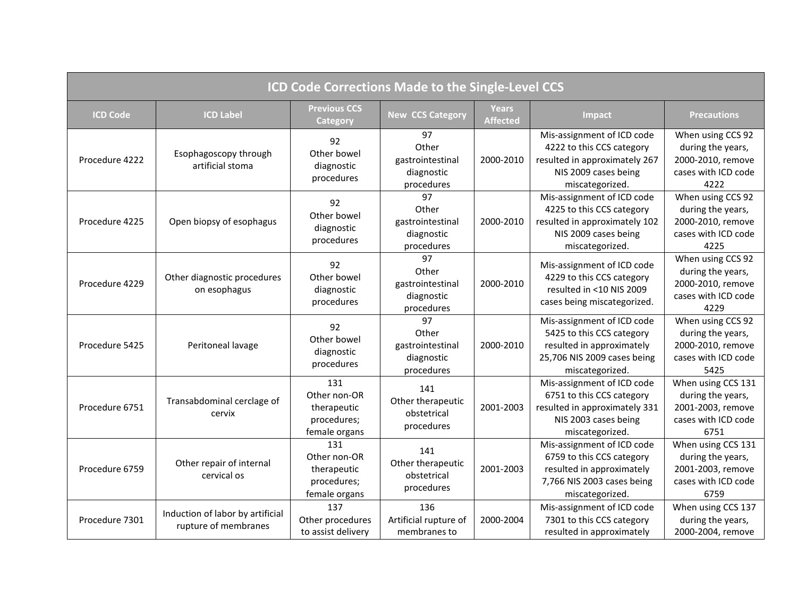| <b>ICD Code Corrections Made to the Single-Level CCS</b> |                                                          |                                                                    |                                                             |                                 |                                                                                                                                        |                                                                                             |  |
|----------------------------------------------------------|----------------------------------------------------------|--------------------------------------------------------------------|-------------------------------------------------------------|---------------------------------|----------------------------------------------------------------------------------------------------------------------------------------|---------------------------------------------------------------------------------------------|--|
| <b>ICD Code</b>                                          | <b>ICD Label</b>                                         | <b>Previous CCS</b><br><b>Category</b>                             | <b>New CCS Category</b>                                     | <b>Years</b><br><b>Affected</b> | Impact                                                                                                                                 | <b>Precautions</b>                                                                          |  |
| Procedure 4222                                           | Esophagoscopy through<br>artificial stoma                | 92<br>Other bowel<br>diagnostic<br>procedures                      | 97<br>Other<br>gastrointestinal<br>diagnostic<br>procedures | 2000-2010                       | Mis-assignment of ICD code<br>4222 to this CCS category<br>resulted in approximately 267<br>NIS 2009 cases being<br>miscategorized.    | When using CCS 92<br>during the years,<br>2000-2010, remove<br>cases with ICD code<br>4222  |  |
| Procedure 4225                                           | Open biopsy of esophagus                                 | 92<br>Other bowel<br>diagnostic<br>procedures                      | 97<br>Other<br>gastrointestinal<br>diagnostic<br>procedures | 2000-2010                       | Mis-assignment of ICD code<br>4225 to this CCS category<br>resulted in approximately 102<br>NIS 2009 cases being<br>miscategorized.    | When using CCS 92<br>during the years,<br>2000-2010, remove<br>cases with ICD code<br>4225  |  |
| Procedure 4229                                           | Other diagnostic procedures<br>on esophagus              | 92<br>Other bowel<br>diagnostic<br>procedures                      | 97<br>Other<br>gastrointestinal<br>diagnostic<br>procedures | 2000-2010                       | Mis-assignment of ICD code<br>4229 to this CCS category<br>resulted in <10 NIS 2009<br>cases being miscategorized.                     | When using CCS 92<br>during the years,<br>2000-2010, remove<br>cases with ICD code<br>4229  |  |
| Procedure 5425                                           | Peritoneal lavage                                        | 92<br>Other bowel<br>diagnostic<br>procedures                      | 97<br>Other<br>gastrointestinal<br>diagnostic<br>procedures | 2000-2010                       | Mis-assignment of ICD code<br>5425 to this CCS category<br>resulted in approximately<br>25,706 NIS 2009 cases being<br>miscategorized. | When using CCS 92<br>during the years,<br>2000-2010, remove<br>cases with ICD code<br>5425  |  |
| Procedure 6751                                           | Transabdominal cerclage of<br>cervix                     | 131<br>Other non-OR<br>therapeutic<br>procedures;<br>female organs | 141<br>Other therapeutic<br>obstetrical<br>procedures       | 2001-2003                       | Mis-assignment of ICD code<br>6751 to this CCS category<br>resulted in approximately 331<br>NIS 2003 cases being<br>miscategorized.    | When using CCS 131<br>during the years,<br>2001-2003, remove<br>cases with ICD code<br>6751 |  |
| Procedure 6759                                           | Other repair of internal<br>cervical os                  | 131<br>Other non-OR<br>therapeutic<br>procedures;<br>female organs | 141<br>Other therapeutic<br>obstetrical<br>procedures       | 2001-2003                       | Mis-assignment of ICD code<br>6759 to this CCS category<br>resulted in approximately<br>7,766 NIS 2003 cases being<br>miscategorized.  | When using CCS 131<br>during the years,<br>2001-2003, remove<br>cases with ICD code<br>6759 |  |
| Procedure 7301                                           | Induction of labor by artificial<br>rupture of membranes | 137<br>Other procedures<br>to assist delivery                      | 136<br>Artificial rupture of<br>membranes to                | 2000-2004                       | Mis-assignment of ICD code<br>7301 to this CCS category<br>resulted in approximately                                                   | When using CCS 137<br>during the years,<br>2000-2004, remove                                |  |